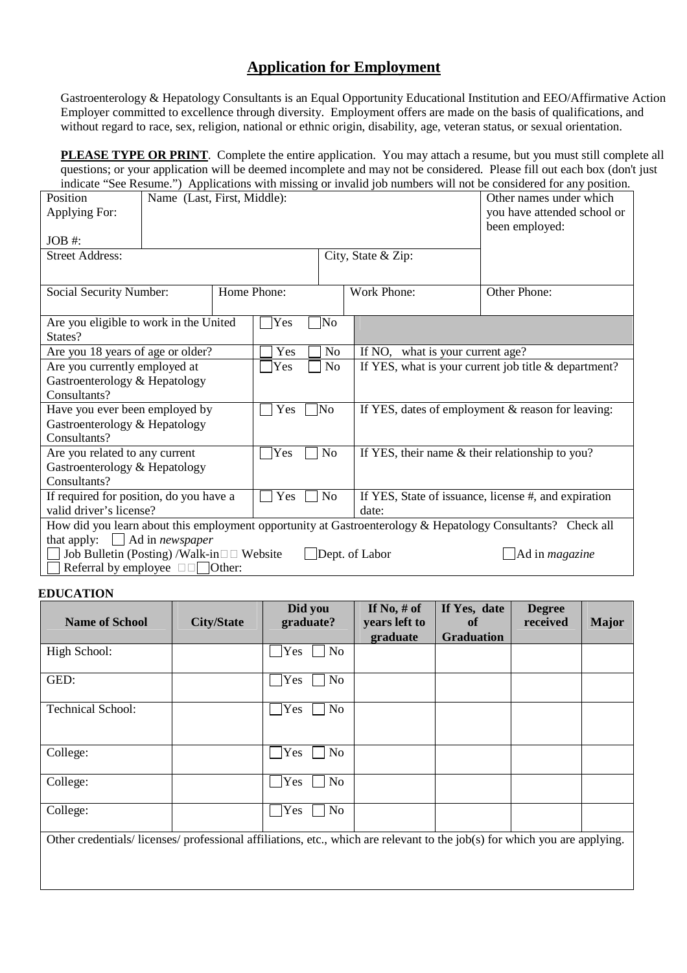## **Application for Employment**

Gastroenterology & Hepatology Consultants is an Equal Opportunity Educational Institution and EEO/Affirmative Action Employer committed to excellence through diversity. Employment offers are made on the basis of qualifications, and without regard to race, sex, religion, national or ethnic origin, disability, age, veteran status, or sexual orientation.

**PLEASE TYPE OR PRINT**. Complete the entire application. You may attach a resume, but you must still complete all questions; or your application will be deemed incomplete and may not be considered. Please fill out each box (don't just indicate "See Resume.") Applications with missing or invalid job numbers will not be considered for any position.

| Position<br>Applying For:<br>$JOB$ #:                                                                                                                                       | Name (Last, First, Middle): |  |             |                    |                                                        | Other names under which<br>you have attended school or<br>been employed: |  |
|-----------------------------------------------------------------------------------------------------------------------------------------------------------------------------|-----------------------------|--|-------------|--------------------|--------------------------------------------------------|--------------------------------------------------------------------------|--|
| <b>Street Address:</b>                                                                                                                                                      |                             |  |             | City, State & Zip: |                                                        |                                                                          |  |
|                                                                                                                                                                             |                             |  |             |                    |                                                        |                                                                          |  |
| Social Security Number:                                                                                                                                                     |                             |  | Home Phone: |                    | Work Phone:                                            | Other Phone:                                                             |  |
| Are you eligible to work in the United<br>States?                                                                                                                           |                             |  | Yes         | No]                |                                                        |                                                                          |  |
| Are you 18 years of age or older?                                                                                                                                           |                             |  | Yes         | No                 | If NO, what is your current age?                       |                                                                          |  |
| Are you currently employed at                                                                                                                                               |                             |  | Yes         | N <sub>0</sub>     | If YES, what is your current job title $&$ department? |                                                                          |  |
| Gastroenterology & Hepatology<br>Consultants?                                                                                                                               |                             |  |             |                    |                                                        |                                                                          |  |
| Have you ever been employed by                                                                                                                                              |                             |  | ]No<br>Yes  |                    |                                                        | If YES, dates of employment & reason for leaving:                        |  |
| Gastroenterology & Hepatology                                                                                                                                               |                             |  |             |                    |                                                        |                                                                          |  |
| Consultants?                                                                                                                                                                |                             |  |             |                    |                                                        |                                                                          |  |
| Are you related to any current                                                                                                                                              |                             |  | Yes         | N <sub>0</sub>     | If YES, their name & their relationship to you?        |                                                                          |  |
| Gastroenterology & Hepatology                                                                                                                                               |                             |  |             |                    |                                                        |                                                                          |  |
| Consultants?                                                                                                                                                                |                             |  |             |                    |                                                        |                                                                          |  |
| If required for position, do you have a                                                                                                                                     |                             |  | No<br>Yes   |                    |                                                        | If YES, State of issuance, license #, and expiration                     |  |
| valid driver's license?                                                                                                                                                     |                             |  |             |                    | date:                                                  |                                                                          |  |
| How did you learn about this employment opportunity at Gastroenterology & Hepatology Consultants? Check all                                                                 |                             |  |             |                    |                                                        |                                                                          |  |
| that apply: $\Box$ Ad in <i>newspaper</i><br>Job Bulletin (Posting) /Walk-in<br>Website<br>Dept. of Labor<br>$\Box$ Ad in <i>magazine</i><br>Referral by employee<br>Other: |                             |  |             |                    |                                                        |                                                                          |  |

## **EDUCATION**

| <b>Name of School</b>                                                                                                    | <b>City/State</b> | Did you<br>graduate?  | If No, $#$ of<br>years left to | If Yes, date<br>of | <b>Degree</b><br>received | <b>Major</b> |
|--------------------------------------------------------------------------------------------------------------------------|-------------------|-----------------------|--------------------------------|--------------------|---------------------------|--------------|
|                                                                                                                          |                   |                       | graduate                       | <b>Graduation</b>  |                           |              |
| High School:                                                                                                             |                   | No<br>Yes             |                                |                    |                           |              |
| GED:                                                                                                                     |                   | N <sub>o</sub><br>Yes |                                |                    |                           |              |
| <b>Technical School:</b>                                                                                                 |                   | Yes<br>No             |                                |                    |                           |              |
| College:                                                                                                                 |                   | N <sub>o</sub><br>Yes |                                |                    |                           |              |
| College:                                                                                                                 |                   | Yes<br>N <sub>o</sub> |                                |                    |                           |              |
| College:                                                                                                                 |                   | No<br>Yes             |                                |                    |                           |              |
| Other credentials/licenses/professional affiliations, etc., which are relevant to the job(s) for which you are applying. |                   |                       |                                |                    |                           |              |
|                                                                                                                          |                   |                       |                                |                    |                           |              |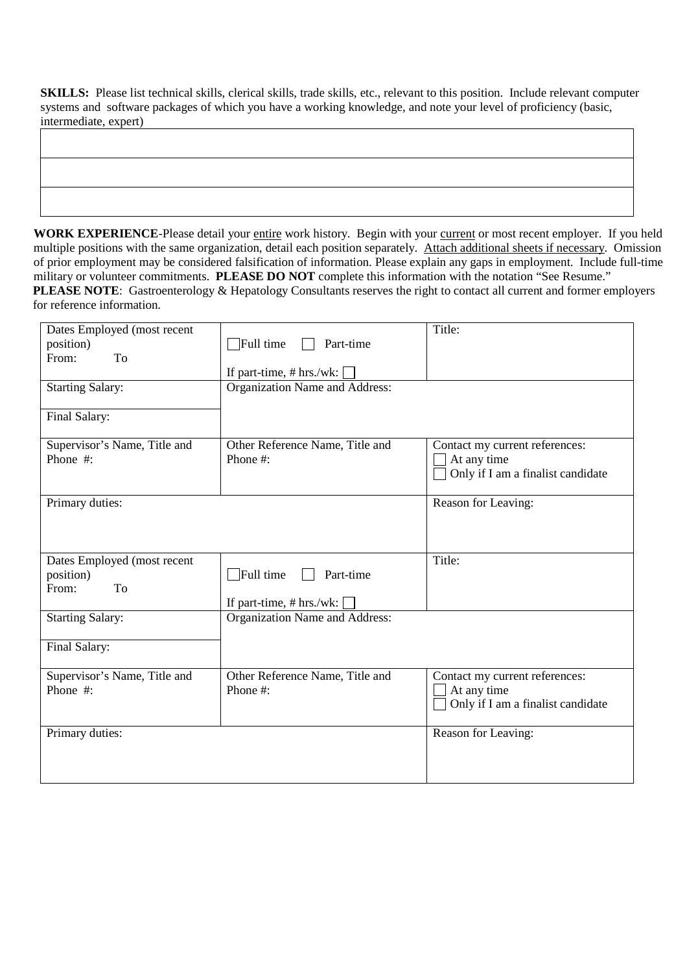**SKILLS:** Please list technical skills, clerical skills, trade skills, etc., relevant to this position. Include relevant computer systems and software packages of which you have a working knowledge, and note your level of proficiency (basic, intermediate, expert)

WORK EXPERIENCE-Please detail your entire work history. Begin with your current or most recent employer. If you held multiple positions with the same organization, detail each position separately. Attach additional sheets if necessary. Omission of prior employment may be considered falsification of information. Please explain any gaps in employment. Include full-time military or volunteer commitments. **PLEASE DO NOT** complete this information with the notation "See Resume." **PLEASE NOTE:** Gastroenterology & Hepatology Consultants reserves the right to contact all current and former employers for reference information.

| Dates Employed (most recent<br>position)<br>From:<br>To<br><b>Starting Salary:</b><br>Final Salary: | $\Box$ Full time<br>Part-time<br>If part-time, $# hrs./wk:$<br>Organization Name and Address: | Title:                                                                             |
|-----------------------------------------------------------------------------------------------------|-----------------------------------------------------------------------------------------------|------------------------------------------------------------------------------------|
| Supervisor's Name, Title and<br>Phone #:                                                            | Other Reference Name, Title and<br>Phone #:                                                   | Contact my current references:<br>At any time<br>Only if I am a finalist candidate |
| Primary duties:                                                                                     |                                                                                               | Reason for Leaving:                                                                |
| Dates Employed (most recent<br>position)<br>From:<br>To                                             | $\Box$ Full time<br>Part-time<br>If part-time, $# hrs./wk:$                                   | Title:                                                                             |
| <b>Starting Salary:</b><br>Final Salary:                                                            | Organization Name and Address:                                                                |                                                                                    |
| Supervisor's Name, Title and<br>Phone #:                                                            | Other Reference Name, Title and<br>Phone #:                                                   | Contact my current references:<br>At any time<br>Only if I am a finalist candidate |
| Primary duties:                                                                                     |                                                                                               | Reason for Leaving:                                                                |